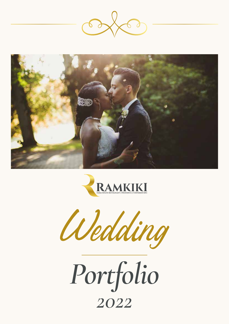







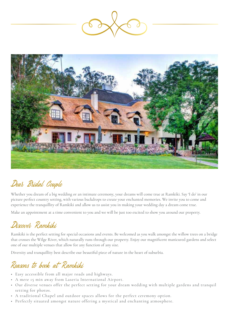



# Dear Bridal Couple

Whether you dream of a big wedding or an intimate ceremony, your dreams will come true at Ramkiki. Say 'I do' in our picture perfect country setting, with various backdrops to create your enchanted memories. We invite you to come and experience the tranquillity of Ramkiki and allow us to assist you in making your wedding day a dream come true.

Make an appointment at a time convenient to you and we will be just too excited to show you around our property.

#### Discover Ramkiki

Ramkiki is the perfect setting for special occasions and events. Be welcomed as you walk amongst the willow trees on a bridge that crosses the Wilge River, which naturally runs through our property. Enjoy our magnificent manicured gardens and select one of our multiple venues that allow for any function of any size.

Diversity and tranquillity best describe our beautiful piece of nature in the heart of suburbia.

#### Reasons to book at Ramkiki

- Easy accessible from all major roads and highways.
- A mere 15 min away from Laseria International Airport.
- Our diverse venues offer the perfect setting for your dream wedding with multiple gardens and tranquil setting for photos.
- A traditional Chapel and outdoor spaces allows for the perfect ceremony option.
- Perfectly situated amongst nature offering a mystical and enchanting atmosphere.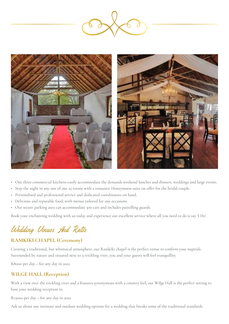



- Our three commercial kitchens easily accommodate the demands weekend lunches and dinners, weddings and large events.
- Stay the night in any one of our 25 rooms with a romantic Honeymoon suite on offer for the bridal couple.
- Personalised and professional service and dedicated coordinators on hand.
- Delicious and reputable food, with menus tailored for any occasions.
- Our secure parking area can accommodate 300 cars and includes patrolling guards.

Book your enchanting wedding with us today and experience our excellent service where all you need to do is say 'I Do'.

# Wedding Venues And Rates

#### **RAMKIKI CHAPEL (Ceremony)**

Creating a traditional, but whimsical atmosphere, our Ramkiki chapel is the perfect venue to confirm your nuptials. Surrounded by nature and situated next to a trickling river, you and your guests will feel tranquillity.

R8000 per day – for any day in 2022

#### **WILGE HALL (Reception)**

With a view over the trickling river and a features synonymous with a country feel, our Wilge Hall is the perfect setting to host your wedding reception in.

R15000 per day – for any day in 2022

Ask us about our intimate and outdoor wedding options for a wedding that breaks some of the traditional standards.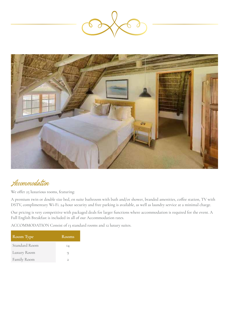



Accommodation

We offer 25 luxurious rooms, featuring:

A premium twin or double size bed, en suite bathroom with bath and/or shower, branded amenities, coffee station, TV with DSTV, complimentary Wi-Fi. 24-hour security and free parking is available, as well as laundry service at a minimal charge.

Our pricing is very competitive with packaged deals for larger functions where accommodation is required for the event. A Full English Breakfast is included in all of our Accommodation rates.

ACCOMMODATION Consist of 13 standard rooms and 12 luxury suites.

| <b>Room</b> Type | <b>Rooms</b> |
|------------------|--------------|
| Standard Room    | 14           |
| Luxury Room      | 9            |
| Family Room      | 2            |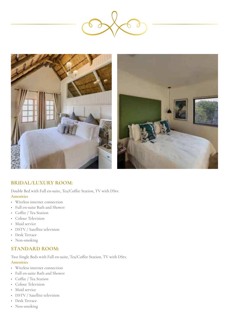



#### **BRIDAL/LUXURY ROOM:**

Double Bed with Full en-suite, Tea/Coffee Station, TV with DStv.

#### **Amenities**

- Wireless internet connection
- Full en-suite Bath and Shower
- Coffee / Tea Station
- Colour Television
- Maid service
- DSTV / Satellite television
- Desk Terrace
- Non-smoking

#### **STANDARD ROOM:**

Two Single Beds with Full en-suite, Tea/Coffee Station, TV with DStv. **Amenities**

- Wireless internet connection
- Full en-suite Bath and Shower
- Coffee / Tea Station
- Colour Television
- Maid service
- DSTV / Satellite television
- Desk Terrace
- Non-smoking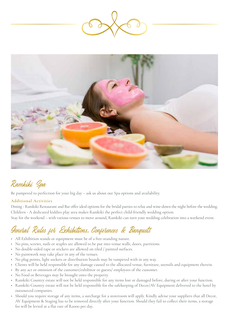



### Ramkiki Spa

Be pampered to perfection for your big day – ask us about our Spa options and availability.

#### **Additional Activities**

Dining - Ramkiki Restaurant and Bar offer ideal options for the bridal parties to relax and wine-down the night before the wedding. Children - A dedicated kiddies play area makes Ramkiki the perfect child-friendly wedding option.

#### Stay for the weekend – with various venues to move around, Ramkiki can turn your wedding celebration into a weekend event.

### General Rules for Exhibitions, Conferences & Banquets

- All Exhibition stands or equipment must be of a free-standing nature.
- No pins, screws, nails or staples are allowed to be put into venue walls, doors, partitions
- No double-sided tape or stickers are allowed on tiled / painted surfaces.
- No paintwork may take place in any of the venues.
- No plug points, light sockets or distribution boards may be tampered with in any way.
- Clients will be held responsible for any damage caused to the allocated venue, furniture, utensils and equipment therein.
- By any act or omission of the customer/exhibitor or guests/ employees of the customer.
- No Food or Beverages may be brought onto the property.
- Ramkiki Country estate will not be held responsible for any items lost or damaged before, during or after your function.
- Ramkiki Country estate will not be held responsible for the safekeeping of Decor/AV Equipment delivered to the hotel by outsourced companies.
- Should you require storage of any items, a surcharge for a storeroom will apply. Kindly advise your suppliers that all Decor, AV Equipment & Staging has to be removed directly after your function. Should they fail to collect their items, a storage fee will be levied at a flat rate of R2000 per day.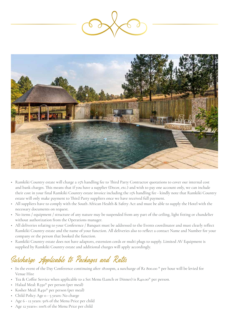



- Ramkiki Country estate will charge a 15% handling fee to Third Party Contractor quotations to cover our internal cost and bank charges. This means that if you have a supplier (Decor, etc.) and wish to pay one account only, we can include their cost in your final Ramkiki Country estate invoice including the 15% handling fee - kindly note that Ramkiki Country estate will only make payment to Third Party suppliers once we have received full payment.
- All suppliers have to comply with the South African Health & Safety Act and must be able to supply the Hotel with the necessary documents on request.
- No items / equipment / structure of any nature may be suspended from any part of the ceiling, light fitting or chandelier without authorization from the Operations manager.
- All deliveries relating to your Conference / Banquet must be addressed to the Events coordinator and must clearly reflect Ramkiki Country estate and the name of your function. All deliveries also to reflect a contact Name and Number for your company or the person that booked the function.
- Ramkiki Country estate does not have adaptors, extension cords or multi plugs to supply. Limited AV Equipment is supplied by Ramkiki Country estate and additional charges will apply accordingly.

### Surcharge Applicable to Packages and Rates

- In the event of the Day Conference continuing after 18:00pm, a surcharge of R1 800.00  $*$  per hour will be levied for Venue Hire
- Tea & Coffee Service when applicable to a Set Menu (Lunch or Dinner) is R40.00\* per person.
- Halaal Meal: R350\* per person (per meal)
- Kosher Meal: R450\* per person (per meal)
- Child Policy Age 0 5 years: No charge
- Age 6 12 years: 50% of the Menu Price per child
- Age 12 years+: 100% of the Menu Price per child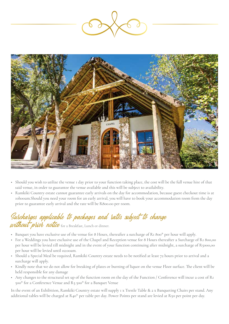



- Should you wish to utilize the venue 1 day prior to your function taking place, the cost will be the full venue hire of that said venue, in order to guarantee the venue available and this will be subject to availability.
- Ramkiki Country estate cannot guarantee early arrivals on the day for accommodation, because guest checkout time is at 10h00am.Should you need your room for an early arrival, you will have to book your accommodation room from the day prior to guarantee early arrival and the rate will be R800.00 per room.

### Surcharges applicable to packages and rates subject to change **Su***rcharges appucable to packages and***<br>without pliol notice** for a Breakfast, Lunch or dinner.

- Banquet you have exclusive use of the venue for 8 Hours, thereafter a surcharge of R1 800\* per hour will apply.
- For a Weddings you have exclusive use of the Chapel and Reception venue for 8 Hours thereafter a Surcharge of R1 800,00 per hour will be levied till midnight and in the event of your function continuing after midnight, a surcharge of R5000,00 per hour will be levied until 02:00am.
- Should a Special Meal be required, Ramkiki Country estate needs to be notified at least 72 hours prior to arrival and a surcharge will apply.
- Kindly note that we do not allow for breaking of plates or burning of liquor on the venue Floor surface. The client will be held responsible for any damage
- Any changes to the structural set up of the function room on the day of the Function / Conference will incur a cost of R1 500\* for a Conference Venue and R3 500\* for a Banquet Venue

In the event of an Exhibition, Ramkiki Country estate will supply 1 x Trestle Table & 2 x Banqueting Chairs per stand. Any additional tables will be charged at R40\* per table per day. Power Points per stand are levied at R50 per point per day.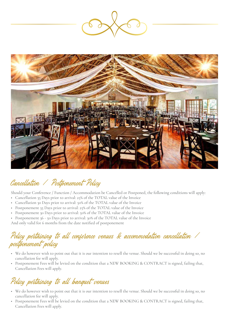



# Cancellation / Postponement Policy

Should your Conference / Function / Accommodation be Cancelled or Postponed, the following conditions will apply:

- Cancellation 35 Days prior to arrival: 25% of the TOTAL value of the Invoice
- Cancellation 30 Days prior to arrival: 50% of the TOTAL value of the Invoice
- Postponement 35 Days prior to arrival: 25% of the TOTAL value of the Invoice
- Postponement 30 Days prior to arrival: 50% of the TOTAL value of the Invoice
- Postponement 36 50 Days prior to arrival: 30% of the TOTAL value of the Invoice

And only valid for 6 months from the date notified of postponement

#### Policy pertaining to all conference venues & accommodation cancellation / postponement policy

- We do however wish to point out that it is our intention to resell the venue. Should we be successful in doing so, no cancellation fee will apply.
- Postponement Fees will be levied on the condition that a NEW BOOKING & CONTRACT is signed, failing that, Cancellation Fees will apply.

# Policy pertaining to all banquet venues

- We do however wish to point out that it is our intention to resell the venue. Should we be successful in doing so, no cancellation fee will apply.
- Postponement Fees will be levied on the condition that a NEW BOOKING & CONTRACT is signed, failing that, Cancellation Fees will apply.